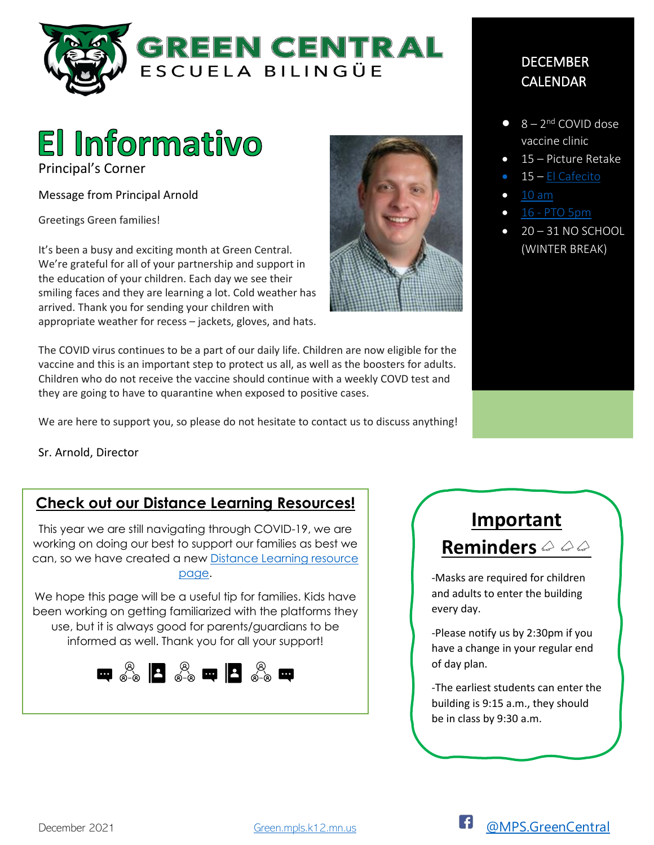



Principal's Corner

Message from Principal Arnold

Greetings Green families!

It's been a busy and exciting month at Green Central. We're grateful for all of your partnership and support in the education of your children. Each day we see their smiling faces and they are learning a lot. Cold weather has arrived. Thank you for sending your children with appropriate weather for recess – jackets, gloves, and hats.

The COVID virus continues to be a part of our daily life. Children are now eligible for the vaccine and this is an important step to protect us all, as well as the boosters for adults. Children who do not receive the vaccine should continue with a weekly COVD test and they are going to have to quarantine when exposed to positive cases.

We are here to support you, so please do not hesitate to contact us to discuss anything!

Sr. Arnold, Director

### **Check out our Distance Learning Resources!**

This year we are still navigating through COVID-19, we are working on doing our best to support our families as best we can, so we have created a new [Distance Learning resource](https://www.google.com/url?q=https://sites.google.com/mpls.k12.mn.us/green-central-distance-learnin/home-inicio&sa=D&source=hangouts&ust=1638373114942000&usg=AOvVaw3HJdMMMRbldTlLYKIPS1B6)  [page.](https://www.google.com/url?q=https://sites.google.com/mpls.k12.mn.us/green-central-distance-learnin/home-inicio&sa=D&source=hangouts&ust=1638373114942000&usg=AOvVaw3HJdMMMRbldTlLYKIPS1B6)

We hope this page will be a useful tip for families. Kids have been working on getting familiarized with the platforms they use, but it is always good for parents/guardians to be informed as well. Thank you for all your support!





### DECEMBER CALENDAR

- $\bullet$  8 2<sup>nd</sup> COVID dose vaccine clinic
- 15 Picture Retake
- 15 El Cafecito
- $\bullet$  [10 am](https://meet.google.com/qmq-figx-thm)
- 16 [PTO 5pm](https://meet.google.com/mhh-qppg-iha)
- 20 31 NO SCHOOL (WINTER BREAK)



-Masks are required for children and adults to enter the building every day.

-Please notify us by 2:30pm if you have a change in your regular end of day plan.

-The earliest students can enter the building is 9:15 a.m., they should be in class by 9:30 a.m.

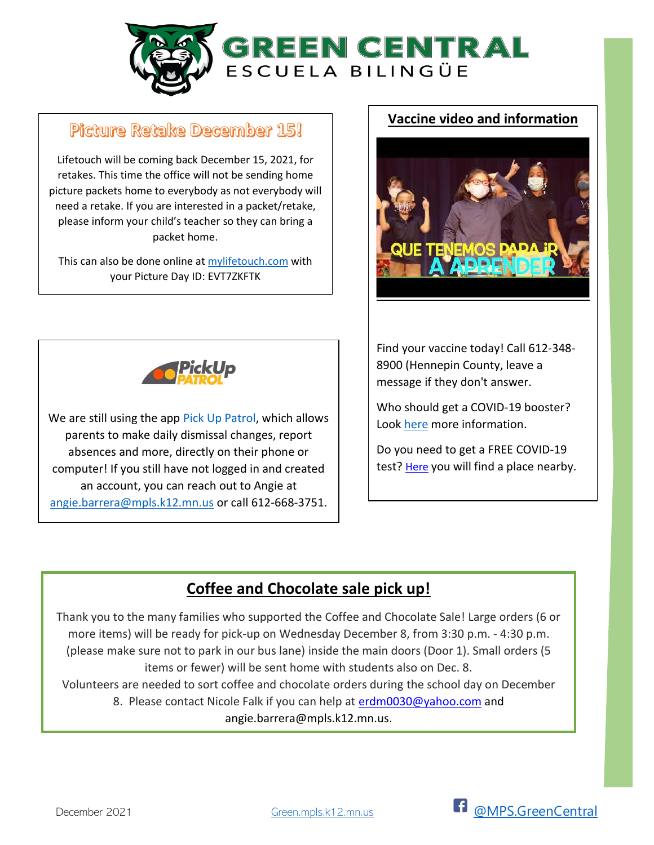

## Picture Retake December 15!

 $\overline{\phantom{a}}$ 

Lifetouch will be coming back December 15, 2021, for retakes. This time the office will not be sending home picture packets home to everybody as not everybody will need a retake. If you are interested in a packet/retake, please inform your child's teacher so they can bring a packet home.

This can also be done online a[t mylifetouch.com](https://my.lifetouch.com/mylifetouch/%23/) with your Picture Day ID: EVT7ZKFTK

### **Vaccine video and information**





We are still using the app [Pick Up Patrol,](https://www.pickuppatrol.net/parent-questions) which allows parents to make daily dismissal changes, report absences and more, directly on their phone or computer! If you still have not logged in and created an account, you can reach out to Angie at [angie.barrera@mpls.k12.mn.us](mailto:angie.barrera@mpls.k12.mn.us) or call 612-668-3751.

Find your vaccine today! Call 612-348- 8900 (Hennepin County, leave a message if they don't answer.

Who should get a COVID-19 booster? Look [here](https://mn.gov/covid19/vaccine/vaxforkids/index.jsp%20%20for) more information.

Do you need to get a FREE COVID-19 test? [Here](https://mn.gov/covid19/get-tested/testing-locations/index.jsp) you will find a place nearby.

# **Coffee and Chocolate sale pick up!**

Thank you to the many families who supported the Coffee and Chocolate Sale! Large orders (6 or more items) will be ready for pick-up on Wednesday December 8, from 3:30 p.m. - 4:30 p.m. (please make sure not to park in our bus lane) inside the main doors (Door 1). Small orders (5 items or fewer) will be sent home with students also on Dec. 8.

Volunteers are needed to sort coffee and chocolate orders during the school day on December 8. Please contact Nicole Falk if you can help at [erdm0030@yahoo.com](mailto:erdm0030@yahoo.com) and angie.barrera@mpls.k12.mn.us.

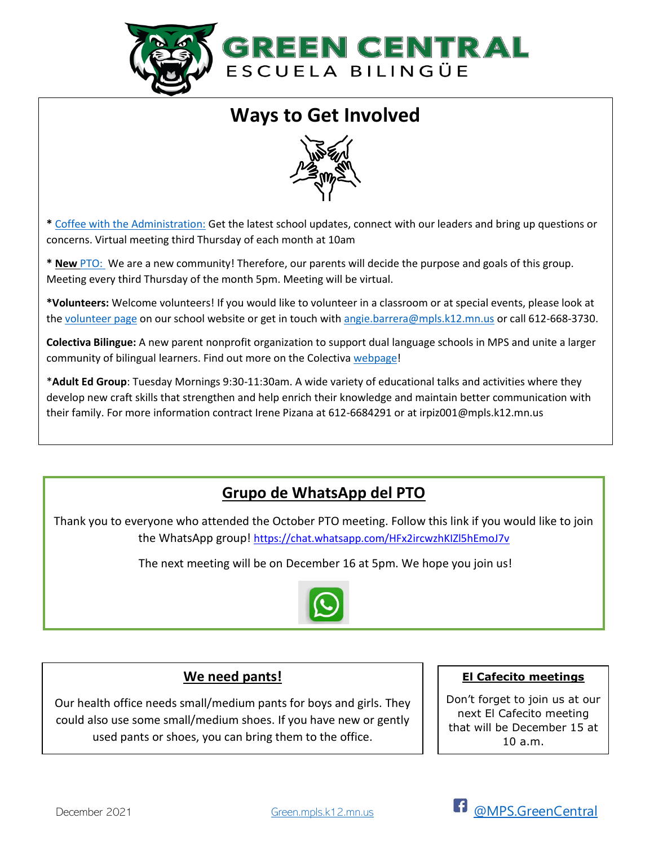

# **Ways to Get Involved**



**\*** [Coffee with the Administration:](https://meet.google.com/qmq-figx-thm) Get the latest school updates, connect with our leaders and bring up questions or concerns. Virtual meeting third Thursday of each month at 10am

**\* New** [PTO:](https://meet.google.com/mhh-qppg-iha) We are a new community! Therefore, our parents will decide the purpose and goals of this group. Meeting every third Thursday of the month 5pm. Meeting will be virtual.

**\*Volunteers:** Welcome volunteers! If you would like to volunteer in a classroom or at special events, please look at the [volunteer page](https://green.mpls.k12.mn.us/News?itemId=2067) on our school website or get in touch with [angie.barrera@mpls.k12.mn.us](mailto:angie.barrera@mpls.k12.mn.us) or call 612-668-3730.

**Colectiva Bilingue:** A new parent nonprofit organization to support dual language schools in MPS and unite a larger community of bilingual learners. Find out more on the Colectiva [webpage!](https://colectivabilingue.org/)

\***Adult Ed Group**: Tuesday Mornings 9:30-11:30am. A wide variety of educational talks and activities where they develop new craft skills that strengthen and help enrich their knowledge and maintain better communication with their family. For more information contract Irene Pizana at 612-6684291 or at irpiz001@mpls.k12.mn.us

# **Grupo de WhatsApp del PTO**

Thank you to everyone who attended the October PTO meeting. Follow this link if you would like to join the WhatsApp group! https://chat.whatsapp.com/HFx2ircwzhKIZI5hEmoJ7v

The next meeting will be on December 16 at 5pm. We hope you join us!



#### **We need pants!**

Our health office needs small/medium pants for boys and girls. They could also use some small/medium shoes. If you have new or gently used pants or shoes, you can bring them to the office.

#### **El Cafecito meetings**

Don't forget to join us at our next El Cafecito meeting that will be December 15 at 10 a.m.